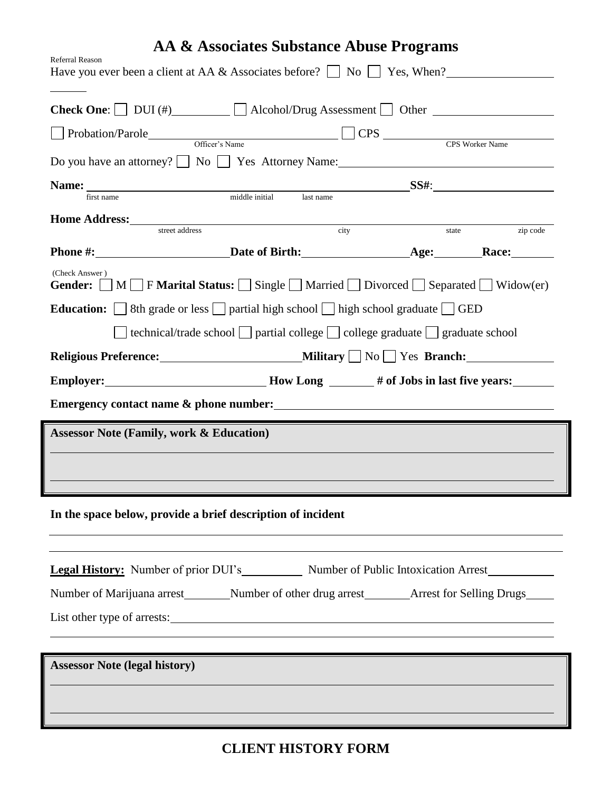| AA & Associates Substance Abuse Programs<br><b>Referral Reason</b><br>Have you ever been a client at AA & Associates before? $\Box$ No $\Box$ Yes, When? |                                                                                                     |       |          |
|----------------------------------------------------------------------------------------------------------------------------------------------------------|-----------------------------------------------------------------------------------------------------|-------|----------|
| <b>Check One:</b> $\Box$ DUI (#) $\Box$ Alcohol/Drug Assessment $\Box$ Other $\Box$                                                                      |                                                                                                     |       |          |
| Probation/Parole Officer's Name CPS CPS CPS CPS Worker Name                                                                                              |                                                                                                     |       |          |
| Do you have an attorney? No Yes Attorney Name:                                                                                                           |                                                                                                     |       |          |
|                                                                                                                                                          |                                                                                                     |       |          |
| first name                                                                                                                                               | middle initial<br>last name                                                                         |       |          |
| <b>Home Address:</b> Street address city                                                                                                                 |                                                                                                     | state | zip code |
|                                                                                                                                                          |                                                                                                     |       |          |
| (Check Answer)<br>Gender: $\Box M \Box F$ Marital Status: $\Box$ Single $\Box$ Married $\Box$ Divorced $\Box$ Separated $\Box$ Widow(er)                 |                                                                                                     |       |          |
| <b>Education:</b> $\Box$ 8th grade or less $\Box$ partial high school $\Box$ high school graduate $\Box$ GED                                             |                                                                                                     |       |          |
|                                                                                                                                                          | $\Box$ technical/trade school $\Box$ partial college $\Box$ college graduate $\Box$ graduate school |       |          |
|                                                                                                                                                          |                                                                                                     |       |          |
| Employer: ___________________________________How Long ________# of Jobs in last five years: ________                                                     |                                                                                                     |       |          |
|                                                                                                                                                          |                                                                                                     |       |          |
| <b>Assessor Note (Family, work &amp; Education)</b>                                                                                                      |                                                                                                     |       |          |
|                                                                                                                                                          |                                                                                                     |       |          |
|                                                                                                                                                          |                                                                                                     |       |          |
| In the space below, provide a brief description of incident                                                                                              |                                                                                                     |       |          |
| <b>Legal History:</b> Number of prior DUI's Number of Public Intoxication Arrest                                                                         |                                                                                                     |       |          |
| Number of Marijuana arrest _________Number of other drug arrest _________Arrest for Selling Drugs                                                        |                                                                                                     |       |          |
| List other type of arrests:                                                                                                                              |                                                                                                     |       |          |
|                                                                                                                                                          |                                                                                                     |       |          |
| <b>Assessor Note (legal history)</b>                                                                                                                     |                                                                                                     |       |          |
|                                                                                                                                                          |                                                                                                     |       |          |
|                                                                                                                                                          |                                                                                                     |       |          |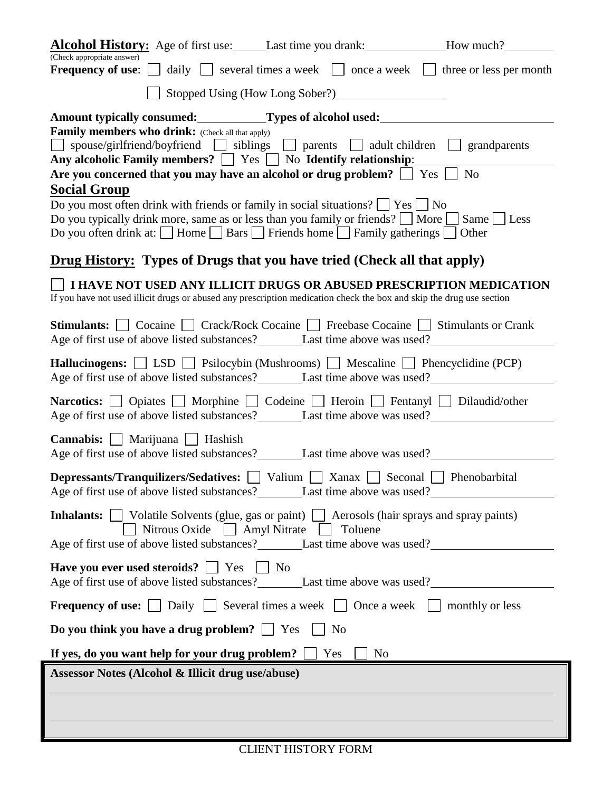| <b>Alcohol History:</b> Age of first use: Last time you drank: How much?                                                                                                                                                                                                                                              |
|-----------------------------------------------------------------------------------------------------------------------------------------------------------------------------------------------------------------------------------------------------------------------------------------------------------------------|
| (Check appropriate answer)<br><b>Frequency of use:</b> $\Box$ daily $\Box$ several times a week $\Box$ once a week $\Box$ three or less per month                                                                                                                                                                     |
| Stopped Using (How Long Sober?)                                                                                                                                                                                                                                                                                       |
| Amount typically consumed: Types of alcohol used:                                                                                                                                                                                                                                                                     |
| <b>Family members who drink:</b> (Check all that apply)<br>□ spouse/girlfriend/boyfriend □ siblings □ parents □ adult children □ grandparents<br>Any alcoholic Family members? $\Box$ Yes $\Box$ No Identify relationship:                                                                                            |
| N <sub>o</sub><br>Are you concerned that you may have an alcohol or drug problem? $\Box$ Yes $\Box$<br><b>Social Group</b>                                                                                                                                                                                            |
| Do you most often drink with friends or family in social situations? $\Box$ Yes $\Box$ No<br>Do you typically drink more, same as or less than you family or friends? $\Box$ More $\Box$ Same $\Box$ Less<br>Do you often drink at: $\Box$ Home $\Box$ Bars $\Box$ Friends home $\Box$ Family gatherings $\Box$ Other |
| <b>Drug History:</b> Types of Drugs that you have tried (Check all that apply)                                                                                                                                                                                                                                        |
| I HAVE NOT USED ANY ILLICIT DRUGS OR ABUSED PRESCRIPTION MEDICATION<br>If you have not used illicit drugs or abused any prescription medication check the box and skip the drug use section                                                                                                                           |
| <b>Stimulants:</b> $\Box$ Cocaine $\Box$ Crack/Rock Cocaine $\Box$ Freebase Cocaine $\Box$ Stimulants or Crank                                                                                                                                                                                                        |
| Hallucinogens: [SED   Psilocybin (Mushrooms)   Mescaline   Phencyclidine (PCP)                                                                                                                                                                                                                                        |
| Narcotics:   Opiates   Morphine   Codeine   Heroin   Fentanyl   Dilaudid/other                                                                                                                                                                                                                                        |
| Cannabis:   Marijuana   Hashish                                                                                                                                                                                                                                                                                       |
| <b>Depressants/Tranquilizers/Sedatives:</b> Valium Xanax Seconal Phenobarbital                                                                                                                                                                                                                                        |
| Inhalants:     Volatile Solvents (glue, gas or paint)   Aerosols (hair sprays and spray paints)<br>Nitrous Oxide Amyl Nitrate Toluene                                                                                                                                                                                 |
| <b>Have you ever used steroids?</b> $\Box$ Yes $\Box$ No                                                                                                                                                                                                                                                              |
| <b>Frequency of use:</b> $\Box$ Daily $\Box$ Several times a week $\Box$ Once a week $\Box$ monthly or less                                                                                                                                                                                                           |
| Do you think you have a drug problem? $\Box$ Yes<br><b>No</b>                                                                                                                                                                                                                                                         |
| If yes, do you want help for your drug problem?<br>Yes<br>N <sub>o</sub>                                                                                                                                                                                                                                              |
| Assessor Notes (Alcohol & Illicit drug use/abuse)                                                                                                                                                                                                                                                                     |
|                                                                                                                                                                                                                                                                                                                       |
|                                                                                                                                                                                                                                                                                                                       |
|                                                                                                                                                                                                                                                                                                                       |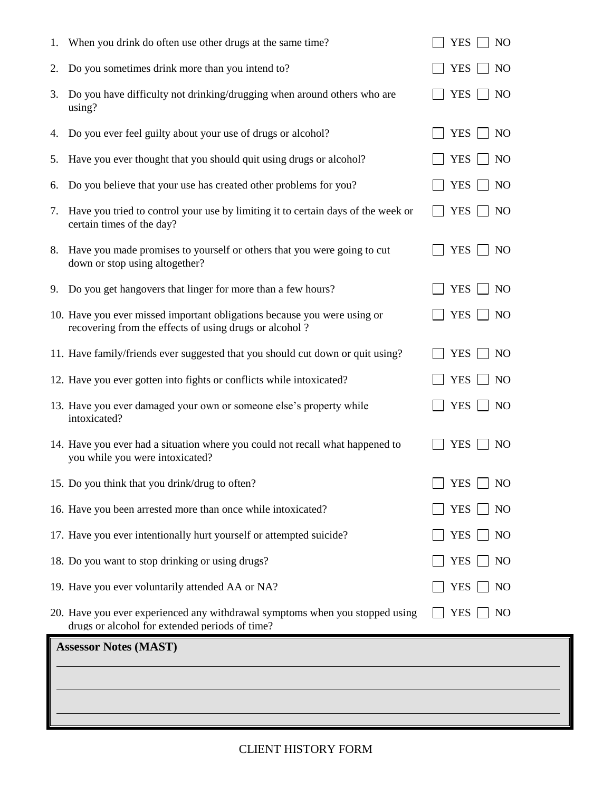|    | 1. When you drink do often use other drugs at the same time?                                                                       | N <sub>O</sub><br><b>YES</b> |
|----|------------------------------------------------------------------------------------------------------------------------------------|------------------------------|
| 2. | Do you sometimes drink more than you intend to?                                                                                    | <b>YES</b><br>NO             |
| 3. | Do you have difficulty not drinking/drugging when around others who are<br>using?                                                  | <b>YES</b><br><b>NO</b>      |
| 4. | Do you ever feel guilty about your use of drugs or alcohol?                                                                        | <b>YES</b><br>N <sub>O</sub> |
| 5. | Have you ever thought that you should quit using drugs or alcohol?                                                                 | <b>YES</b><br>N <sub>O</sub> |
| 6. | Do you believe that your use has created other problems for you?                                                                   | <b>YES</b><br>N <sub>O</sub> |
| 7. | Have you tried to control your use by limiting it to certain days of the week or<br>certain times of the day?                      | <b>YES</b><br>N <sub>O</sub> |
|    | 8. Have you made promises to yourself or others that you were going to cut<br>down or stop using altogether?                       | <b>YES</b><br>N <sub>O</sub> |
| 9. | Do you get hangovers that linger for more than a few hours?                                                                        | <b>YES</b><br>N <sub>O</sub> |
|    | 10. Have you ever missed important obligations because you were using or<br>recovering from the effects of using drugs or alcohol? | YES<br>N <sub>O</sub>        |
|    | 11. Have family/friends ever suggested that you should cut down or quit using?                                                     | <b>YES</b><br>N <sub>O</sub> |
|    | 12. Have you ever gotten into fights or conflicts while intoxicated?                                                               | <b>YES</b><br>N <sub>O</sub> |
|    | 13. Have you ever damaged your own or someone else's property while<br>intoxicated?                                                | <b>YES</b><br>N <sub>O</sub> |
|    | 14. Have you ever had a situation where you could not recall what happened to<br>you while you were intoxicated?                   | <b>YES</b><br>N <sub>O</sub> |
|    | 15. Do you think that you drink/drug to often?                                                                                     | $\Box$ YES $\Box$ NO         |
|    | 16. Have you been arrested more than once while intoxicated?                                                                       | <b>YES</b><br>N <sub>O</sub> |
|    | 17. Have you ever intentionally hurt yourself or attempted suicide?                                                                | <b>YES</b><br>N <sub>O</sub> |
|    | 18. Do you want to stop drinking or using drugs?                                                                                   | <b>YES</b><br>N <sub>O</sub> |
|    | 19. Have you ever voluntarily attended AA or NA?                                                                                   | <b>YES</b><br>N <sub>O</sub> |
|    | 20. Have you ever experienced any withdrawal symptoms when you stopped using<br>drugs or alcohol for extended periods of time?     | <b>YES</b><br>NO             |
|    | <b>Assessor Notes (MAST)</b>                                                                                                       |                              |
|    |                                                                                                                                    |                              |
|    |                                                                                                                                    |                              |
|    |                                                                                                                                    |                              |

## CLIENT HISTORY FORM

Ш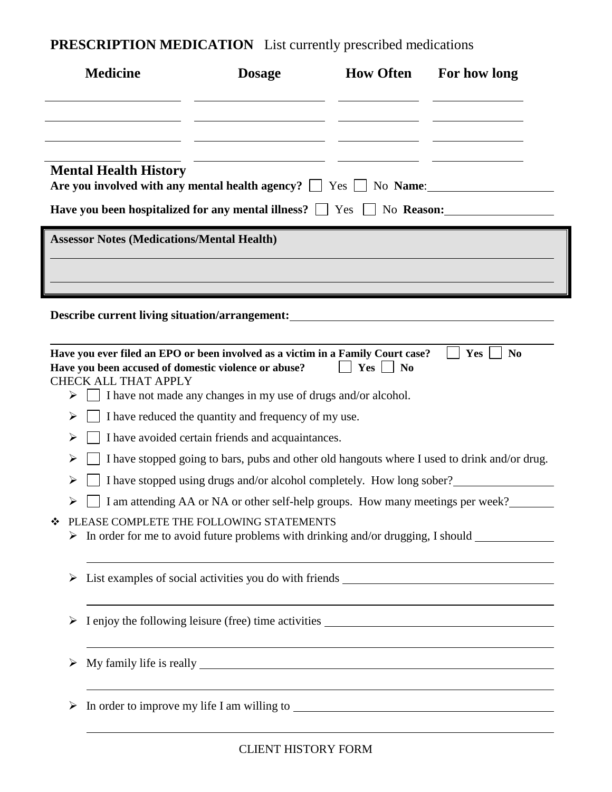**PRESCRIPTION MEDICATION** List currently prescribed medications

| <b>Medicine</b> |                                                      | <b>Dosage</b>                                                                                                                                            | <b>How Often</b>      | For how long          |  |
|-----------------|------------------------------------------------------|----------------------------------------------------------------------------------------------------------------------------------------------------------|-----------------------|-----------------------|--|
|                 |                                                      |                                                                                                                                                          |                       |                       |  |
|                 |                                                      |                                                                                                                                                          |                       |                       |  |
|                 | <b>Mental Health History</b>                         | Are you involved with any mental health agency? $\Box$ Yes $\Box$ No Name:<br>Have you been hospitalized for any mental illness? The Season: The Reason: |                       |                       |  |
|                 | <b>Assessor Notes (Medications/Mental Health)</b>    |                                                                                                                                                          |                       |                       |  |
|                 |                                                      |                                                                                                                                                          |                       |                       |  |
|                 |                                                      |                                                                                                                                                          |                       |                       |  |
|                 |                                                      | Describe current living situation/arrangement:                                                                                                           |                       |                       |  |
|                 |                                                      |                                                                                                                                                          |                       |                       |  |
|                 | <b>CHECK ALL THAT APPLY</b>                          | Have you ever filed an EPO or been involved as a victim in a Family Court case?<br>Have you been accused of domestic violence or abuse?                  | Yes<br>N <sub>0</sub> | Yes<br>N <sub>0</sub> |  |
| ➤               |                                                      | I have not made any changes in my use of drugs and/or alcohol.                                                                                           |                       |                       |  |
| ➤               | I have reduced the quantity and frequency of my use. |                                                                                                                                                          |                       |                       |  |
| ➤               |                                                      | I have avoided certain friends and acquaintances.                                                                                                        |                       |                       |  |
| ➤               |                                                      | I have stopped going to bars, pubs and other old hangouts where I used to drink and/or drug.                                                             |                       |                       |  |
| ➤               |                                                      | I have stopped using drugs and/or alcohol completely. How long sober?                                                                                    |                       |                       |  |
| ≻               |                                                      | I am attending AA or NA or other self-help groups. How many meetings per week?                                                                           |                       |                       |  |
| ❖               |                                                      | PLEASE COMPLETE THE FOLLOWING STATEMENTS<br>> In order for me to avoid future problems with drinking and/or drugging, I should ______________            |                       |                       |  |
|                 |                                                      | List examples of social activities you do with friends __________________________                                                                        |                       |                       |  |
| ➤               |                                                      |                                                                                                                                                          |                       |                       |  |
|                 |                                                      |                                                                                                                                                          |                       |                       |  |
|                 |                                                      | In order to improve my life I am willing to                                                                                                              |                       |                       |  |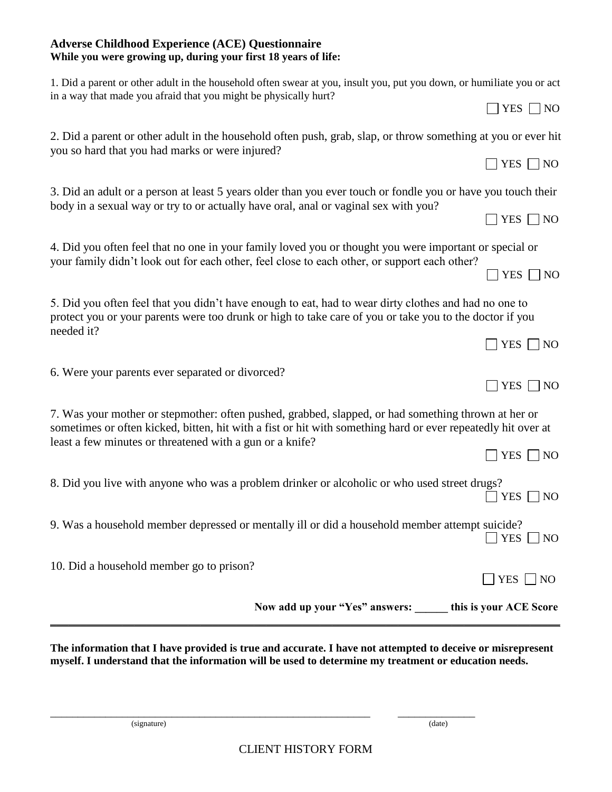\_\_\_\_\_\_\_\_\_\_\_\_\_\_\_\_\_\_\_\_\_\_\_\_\_\_\_\_\_\_\_\_\_\_\_\_\_\_\_\_\_\_\_\_\_\_\_\_\_\_\_\_\_\_\_\_\_\_ \_\_\_\_\_\_\_\_\_\_\_\_\_\_

## **Adverse Childhood Experience (ACE) Questionnaire While you were growing up, during your first 18 years of life:**

| Now add up your "Yes" answers: _____ this is your ACE Score                                                                                                                                                         |                 |  |
|---------------------------------------------------------------------------------------------------------------------------------------------------------------------------------------------------------------------|-----------------|--|
| 10. Did a household member go to prison?                                                                                                                                                                            | $YES \Box NO$   |  |
| 9. Was a household member depressed or mentally ill or did a household member attempt suicide?                                                                                                                      | YES $\Box$ NO   |  |
| 8. Did you live with anyone who was a problem drinker or alcoholic or who used street drugs?                                                                                                                        | $YES \Box NO$   |  |
| least a few minutes or threatened with a gun or a knife?                                                                                                                                                            | $YES \Box NO$   |  |
| 7. Was your mother or stepmother: often pushed, grabbed, slapped, or had something thrown at her or<br>sometimes or often kicked, bitten, hit with a fist or hit with something hard or ever repeatedly hit over at |                 |  |
| 6. Were your parents ever separated or divorced?                                                                                                                                                                    | $YES \n\Box NO$ |  |
| needed it?                                                                                                                                                                                                          | $YES \Box NO$   |  |
| 5. Did you often feel that you didn't have enough to eat, had to wear dirty clothes and had no one to<br>protect you or your parents were too drunk or high to take care of you or take you to the doctor if you    |                 |  |
| your family didn't look out for each other, feel close to each other, or support each other?                                                                                                                        | $YES \cap NO$   |  |
| 4. Did you often feel that no one in your family loved you or thought you were important or special or                                                                                                              |                 |  |
| body in a sexual way or try to or actually have oral, anal or vaginal sex with you?                                                                                                                                 | $YES \n\Box NO$ |  |
| 3. Did an adult or a person at least 5 years older than you ever touch or fondle you or have you touch their                                                                                                        |                 |  |
| you so hard that you had marks or were injured?                                                                                                                                                                     | $YES \Box NO$   |  |
| 2. Did a parent or other adult in the household often push, grab, slap, or throw something at you or ever hit                                                                                                       |                 |  |
| 1. Did a parent or other adult in the household often swear at you, insult you, put you down, or humiliate you or act<br>in a way that made you afraid that you might be physically hurt?                           | $YES \Box NO$   |  |
|                                                                                                                                                                                                                     |                 |  |

**The information that I have provided is true and accurate. I have not attempted to deceive or misrepresent myself. I understand that the information will be used to determine my treatment or education needs.**

(signature) (date)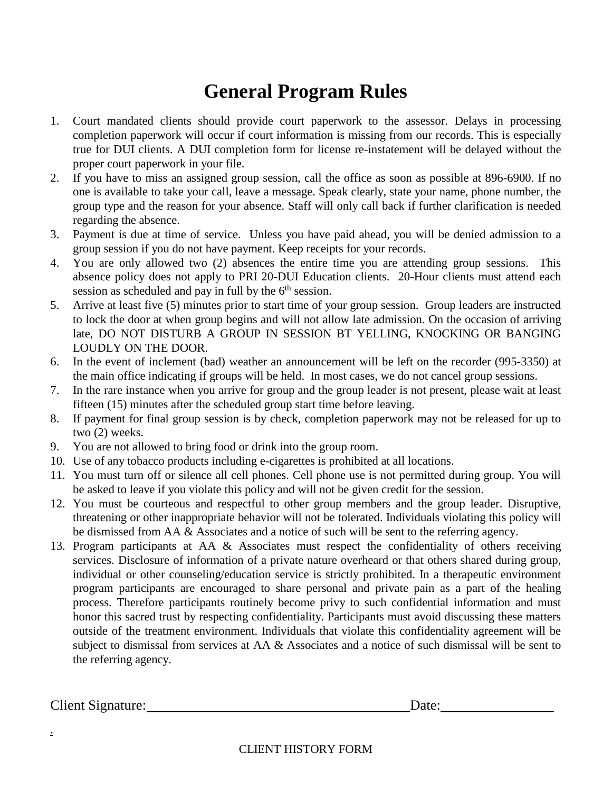## **General Program Rules**

- 1. Court mandated clients should provide court paperwork to the assessor. Delays in processing completion paperwork will occur if court information is missing from our records. This is especially true for DUI clients. A DUI completion form for license re-instatement will be delayed without the proper court paperwork in your file.
- 2. If you have to miss an assigned group session, call the office as soon as possible at 896-6900. If no one is available to take your call, leave a message. Speak clearly, state your name, phone number, the group type and the reason for your absence. Staff will only call back if further clarification is needed regarding the absence.
- 3. Payment is due at time of service. Unless you have paid ahead, you will be denied admission to a group session if you do not have payment. Keep receipts for your records.
- 4. You are only allowed two (2) absences the entire time you are attending group sessions. This absence policy does not apply to PRI 20-DUI Education clients. 20-Hour clients must attend each session as scheduled and pay in full by the  $6<sup>th</sup>$  session.
- 5. Arrive at least five (5) minutes prior to start time of your group session. Group leaders are instructed to lock the door at when group begins and will not allow late admission. On the occasion of arriving late, DO NOT DISTURB A GROUP IN SESSION BT YELLING, KNOCKING OR BANGING LOUDLY ON THE DOOR.
- 6. In the event of inclement (bad) weather an announcement will be left on the recorder (995-3350) at the main office indicating if groups will be held. In most cases, we do not cancel group sessions.
- 7. In the rare instance when you arrive for group and the group leader is not present, please wait at least fifteen (15) minutes after the scheduled group start time before leaving.
- 8. If payment for final group session is by check, completion paperwork may not be released for up to two (2) weeks.
- 9. You are not allowed to bring food or drink into the group room.
- 10. Use of any tobacco products including e-cigarettes is prohibited at all locations.
- 11. You must turn off or silence all cell phones. Cell phone use is not permitted during group. You will be asked to leave if you violate this policy and will not be given credit for the session.
- 12. You must be courteous and respectful to other group members and the group leader. Disruptive, threatening or other inappropriate behavior will not be tolerated. Individuals violating this policy will be dismissed from AA & Associates and a notice of such will be sent to the referring agency.
- 13. Program participants at AA & Associates must respect the confidentiality of others receiving services. Disclosure of information of a private nature overheard or that others shared during group, individual or other counseling/education service is strictly prohibited. In a therapeutic environment program participants are encouraged to share personal and private pain as a part of the healing process. Therefore participants routinely become privy to such confidential information and must honor this sacred trust by respecting confidentiality. Participants must avoid discussing these matters outside of the treatment environment. Individuals that violate this confidentiality agreement will be subject to dismissal from services at AA & Associates and a notice of such dismissal will be sent to the referring agency.

Client Signature: Date:

.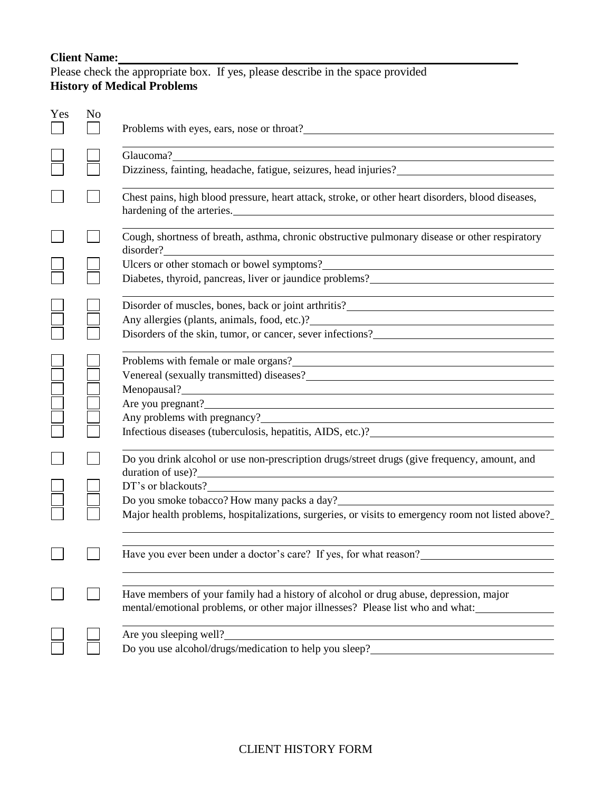## **Client Name:**

Please check the appropriate box. If yes, please describe in the space provided **History of Medical Problems**

| Yes | No | Problems with eyes, ears, nose or throat?                                                                                                                                                                                                     |
|-----|----|-----------------------------------------------------------------------------------------------------------------------------------------------------------------------------------------------------------------------------------------------|
|     |    | Glaucoma?<br>Dizziness, fainting, headache, fatigue, seizures, head injuries?<br>The matter of the matter of the matter of the matter of the matter of the matter of the matter of the matter of the matter of the matter of the matter of th |
|     |    | Chest pains, high blood pressure, heart attack, stroke, or other heart disorders, blood diseases,                                                                                                                                             |
|     |    | Cough, shortness of breath, asthma, chronic obstructive pulmonary disease or other respiratory<br>disorder?                                                                                                                                   |
|     |    | Ulcers or other stomach or bowel symptoms?<br><u>Letters</u> and the stomach or bowel symptoms?<br><u>Letters</u> and the storage state of the storage state of the storage state of the storage state of the storage state of the state of   |
|     |    | Diabetes, thyroid, pancreas, liver or jaundice problems?                                                                                                                                                                                      |
|     |    | Disorder of muscles, bones, back or joint arthritis?<br><u>Letter and the subset of muscles</u> , bones, back or joint arthritis?                                                                                                             |
|     |    | Any allergies (plants, animals, food, etc.)?<br><u>Letter and the set of the set of the set of the set of the set of the set of the set of the set of the set of the set of the set of the set of the set of the set of the set of</u>        |
|     |    | Disorders of the skin, tumor, or cancer, sever infections?                                                                                                                                                                                    |
|     |    | Problems with female or male organs?                                                                                                                                                                                                          |
|     |    |                                                                                                                                                                                                                                               |
|     |    | Menopausal?<br><u> and</u> the contract of the contract of the contract of the contract of the contract of the contract of the contract of the contract of the contract of the contract of the contract of the contract of the contra         |
|     |    | Are you pregnant?<br><u>Are you pregnant?</u>                                                                                                                                                                                                 |
|     |    | Any problems with pregnancy?                                                                                                                                                                                                                  |
|     |    | Infectious diseases (tuberculosis, hepatitis, AIDS, etc.)?<br><u>Letter and the set of the set of the set of the set of the set of the set of the set of the set of the set of the set of the set of the set of the set of the set</u>        |
|     |    | Do you drink alcohol or use non-prescription drugs/street drugs (give frequency, amount, and<br>duration of use)?<br><u> 1989 - Johann Barnett, fransk politiker (d. 1989)</u>                                                                |
|     |    | DT's or blackouts?                                                                                                                                                                                                                            |
|     |    | Do you smoke tobacco? How many packs a day?<br><u>Do you smoke tobacco?</u> How many packs a day?                                                                                                                                             |
|     |    | Major health problems, hospitalizations, surgeries, or visits to emergency room not listed above?                                                                                                                                             |
|     |    | Have you ever been under a doctor's care? If yes, for what reason?                                                                                                                                                                            |
|     |    | Have members of your family had a history of alcohol or drug abuse, depression, major<br>mental/emotional problems, or other major illnesses? Please list who and what:                                                                       |
|     |    | Are you sleeping well?                                                                                                                                                                                                                        |
|     |    | Do you use alcohol/drugs/medication to help you sleep?_                                                                                                                                                                                       |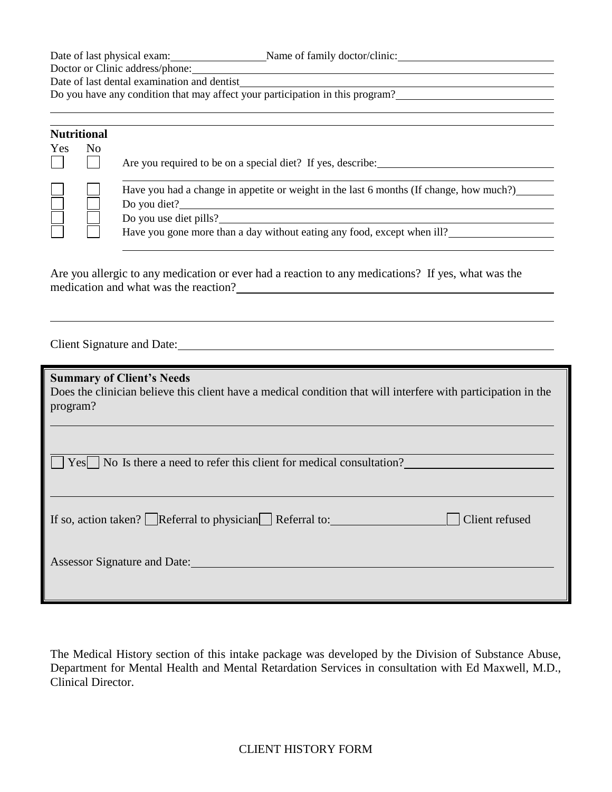Date of last physical exam: Name of family doctor/clinic: Name of family doctor/clinic:

Doctor or Clinic address/phone:

Date of last dental examination and dentist

Do you have any condition that may affect your participation in this program?

| <b>Nutritional</b> |    |                                                                                                                                                                                                                            |
|--------------------|----|----------------------------------------------------------------------------------------------------------------------------------------------------------------------------------------------------------------------------|
| Yes                | No | Are you required to be on a special diet? If yes, describe:                                                                                                                                                                |
|                    |    | Have you had a change in appetite or weight in the last 6 months (If change, how much?)<br>Do you diet? $\frac{1}{2}$<br>Do you use diet pills?<br>Have you gone more than a day without eating any food, except when ill? |

Are you allergic to any medication or ever had a reaction to any medications? If yes, what was the medication and what was the reaction?

Client Signature and Date:

**Summary of Client's Needs**

Does the clinician believe this client have a medical condition that will interfere with participation in the program?

 $\Box$  Yes  $\Box$  No Is there a need to refer this client for medical consultation?

| If so, action taken? $\Box$ Referral to physician $\Box$ Referral to: |  | $\Box$ Client refused |
|-----------------------------------------------------------------------|--|-----------------------|
|-----------------------------------------------------------------------|--|-----------------------|

Assessor Signature and Date:

The Medical History section of this intake package was developed by the Division of Substance Abuse, Department for Mental Health and Mental Retardation Services in consultation with Ed Maxwell, M.D., Clinical Director.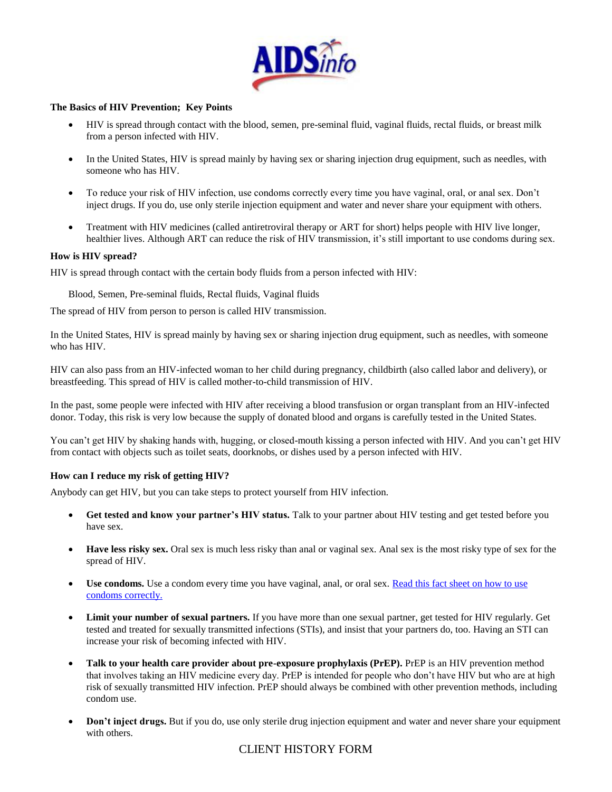

#### **The Basics of HIV Prevention; Key Points**

- HIV is spread through contact with the blood, semen, pre-seminal fluid, vaginal fluids, rectal fluids, or breast milk from a person infected with HIV.
- In the United States, HIV is spread mainly by having sex or sharing injection drug equipment, such as needles, with someone who has HIV.
- To reduce your risk of HIV infection, use condoms correctly every time you have vaginal, oral, or anal sex. Don't inject drugs. If you do, use only sterile injection equipment and water and never share your equipment with others.
- Treatment with HIV medicines (called antiretroviral therapy or ART for short) helps people with HIV live longer, healthier lives. Although ART can reduce the risk of HIV transmission, it's still important to use condoms during sex.

#### **How is HIV spread?**

HIV is spread through contact with the certain body fluids from a person infected with HIV:

Blood, Semen, Pre-seminal fluids, Rectal fluids, Vaginal fluids

The spread of HIV from person to person is called HIV transmission.

In the United States, HIV is spread mainly by having sex or sharing injection drug equipment, such as needles, with someone who has HIV.

HIV can also pass from an HIV-infected woman to her child during pregnancy, childbirth (also called labor and delivery), or breastfeeding. This spread of HIV is called mother-to-child transmission of HIV.

In the past, some people were infected with HIV after receiving a blood transfusion or organ transplant from an HIV-infected donor. Today, this risk is very low because the supply of donated blood and organs is carefully tested in the United States.

You can't get HIV by shaking hands with, hugging, or closed-mouth kissing a person infected with HIV. And you can't get HIV from contact with objects such as toilet seats, doorknobs, or dishes used by a person infected with HIV.

#### **How can I reduce my risk of getting HIV?**

Anybody can get HIV, but you can take steps to protect yourself from HIV infection.

- **Get tested and know your partner's HIV status.** Talk to your partner about HIV testing and get tested before you have sex.
- **Have less risky sex.** Oral sex is much less risky than anal or vaginal sex. Anal sex is the most risky type of sex for the spread of HIV.
- Use condoms. Use a condom every time you have vaginal, anal, or oral sex. Read this fact sheet on how to use [condoms correctly.](http://www.cdc.gov/condomeffectiveness/docs/CondomFactsheetInBrief.pdf)
- **Limit your number of sexual partners.** If you have more than one sexual partner, get tested for HIV regularly. Get tested and treated for sexually transmitted infections (STIs), and insist that your partners do, too. Having an STI can increase your risk of becoming infected with HIV.
- **Talk to your health care provider about pre-exposure prophylaxis (PrEP).** PrEP is an HIV prevention method that involves taking an HIV medicine every day. PrEP is intended for people who don't have HIV but who are at high risk of sexually transmitted HIV infection. PrEP should always be combined with other prevention methods, including condom use.
- **Don't inject drugs.** But if you do, use only sterile drug injection equipment and water and never share your equipment with others.